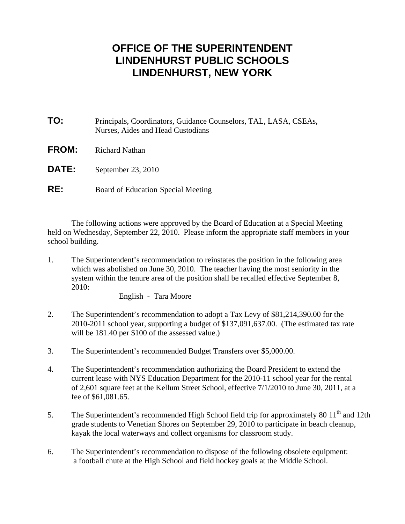## **OFFICE OF THE SUPERINTENDENT LINDENHURST PUBLIC SCHOOLS LINDENHURST, NEW YORK**

- **TO:** Principals, Coordinators, Guidance Counselors, TAL, LASA, CSEAs, Nurses, Aides and Head Custodians **FROM:** Richard Nathan
- **DATE:** September 23, 2010
- **RE:** Board of Education Special Meeting

 The following actions were approved by the Board of Education at a Special Meeting held on Wednesday, September 22, 2010. Please inform the appropriate staff members in your school building.

1. The Superintendent's recommendation to reinstates the position in the following area which was abolished on June 30, 2010. The teacher having the most seniority in the system within the tenure area of the position shall be recalled effective September 8, 2010:

English - Tara Moore

- 2. The Superintendent's recommendation to adopt a Tax Levy of \$81,214,390.00 for the 2010-2011 school year, supporting a budget of \$137,091,637.00. (The estimated tax rate will be 181.40 per \$100 of the assessed value.)
- 3. The Superintendent's recommended Budget Transfers over \$5,000.00.
- 4. The Superintendent's recommendation authorizing the Board President to extend the current lease with NYS Education Department for the 2010-11 school year for the rental of 2,601 square feet at the Kellum Street School, effective 7/1/2010 to June 30, 2011, at a fee of \$61,081.65.
- 5. The Superintendent's recommended High School field trip for approximately 80 11<sup>th</sup> and 12th grade students to Venetian Shores on September 29, 2010 to participate in beach cleanup, kayak the local waterways and collect organisms for classroom study.
- 6. The Superintendent's recommendation to dispose of the following obsolete equipment: a football chute at the High School and field hockey goals at the Middle School.